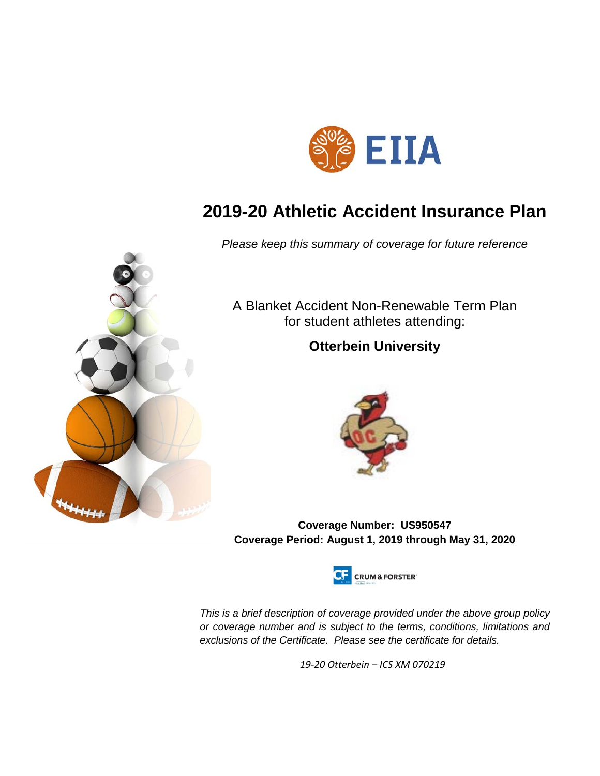

# **2019-20 Athletic Accident Insurance Plan**

*Please keep this summary of coverage for future reference*



A Blanket Accident Non-Renewable Term Plan for student athletes attending:

## **Otterbein University**



**Coverage Number: US950547 Coverage Period: August 1, 2019 through May 31, 2020**



*This is a brief description of coverage provided under the above group policy or coverage number and is subject to the terms, conditions, limitations and exclusions of the Certificate. Please see the certificate for details.*

*19-20 Otterbein – ICS XM 070219*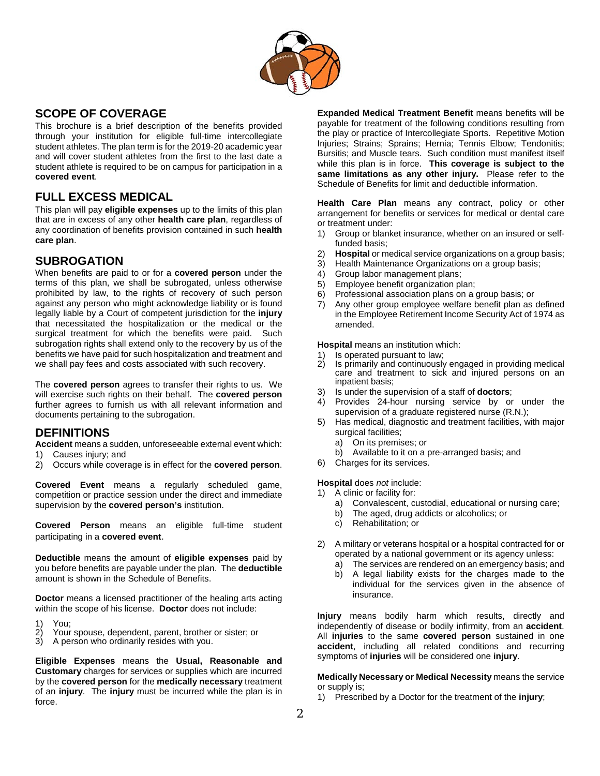

## **SCOPE OF COVERAGE**

This brochure is a brief description of the benefits provided through your institution for eligible full-time intercollegiate student athletes. The plan term is for the 2019-20 academic year and will cover student athletes from the first to the last date a student athlete is required to be on campus for participation in a **covered event**.

## **FULL EXCESS MEDICAL**

This plan will pay **eligible expenses** up to the limits of this plan that are in excess of any other **health care plan**, regardless of any coordination of benefits provision contained in such **health care plan**.

## **SUBROGATION**

When benefits are paid to or for a **covered person** under the terms of this plan, we shall be subrogated, unless otherwise prohibited by law, to the rights of recovery of such person against any person who might acknowledge liability or is found legally liable by a Court of competent jurisdiction for the **injury** that necessitated the hospitalization or the medical or the surgical treatment for which the benefits were paid. Such subrogation rights shall extend only to the recovery by us of the benefits we have paid for such hospitalization and treatment and we shall pay fees and costs associated with such recovery.

The **covered person** agrees to transfer their rights to us. We will exercise such rights on their behalf. The **covered person**  further agrees to furnish us with all relevant information and documents pertaining to the subrogation.

## **DEFINITIONS**

**Accident** means a sudden, unforeseeable external event which:

- 1) Causes injury; and
- 2) Occurs while coverage is in effect for the **covered person**.

**Covered Event** means a regularly scheduled game, competition or practice session under the direct and immediate supervision by the **covered person's** institution.

**Covered Person** means an eligible full-time student participating in a **covered event**.

**Deductible** means the amount of **eligible expenses** paid by you before benefits are payable under the plan. The **deductible** amount is shown in the Schedule of Benefits.

**Doctor** means a licensed practitioner of the healing arts acting within the scope of his license. **Doctor** does not include:

- 1) You;<br>2) Your
- 2) Your spouse, dependent, parent, brother or sister; or 3) A person who ordinarily resides with you.
- A person who ordinarily resides with you.

**Eligible Expenses** means the **Usual, Reasonable and Customary** charges for services or supplies which are incurred by the **covered person** for the **medically necessary** treatment of an **injury**. The **injury** must be incurred while the plan is in force.

**Expanded Medical Treatment Benefit** means benefits will be payable for treatment of the following conditions resulting from the play or practice of Intercollegiate Sports. Repetitive Motion Injuries; Strains; Sprains; Hernia; Tennis Elbow; Tendonitis; Bursitis; and Muscle tears. Such condition must manifest itself while this plan is in force. **This coverage is subject to the same limitations as any other injury.** Please refer to the Schedule of Benefits for limit and deductible information.

**Health Care Plan** means any contract, policy or other arrangement for benefits or services for medical or dental care or treatment under:

- 1) Group or blanket insurance, whether on an insured or selffunded basis;
- 2) **Hospital** or medical service organizations on a group basis;
- 3) Health Maintenance Organizations on a group basis;
- 4) Group labor management plans;<br>5) Emplovee benefit organization pl
- 5) Employee benefit organization plan;
- 6) Professional association plans on a group basis; or
- 7) Any other group employee welfare benefit plan as defined in the Employee Retirement Income Security Act of 1974 as amended.

**Hospital** means an institution which:

- 1) Is operated pursuant to law;<br>2) Is primarily and continuously
- Is primarily and continuously engaged in providing medical care and treatment to sick and injured persons on an inpatient basis;
- 3) Is under the supervision of a staff of **doctors**;
- 4) Provides 24-hour nursing service by or under the supervision of a graduate registered nurse (R.N.);
- 5) Has medical, diagnostic and treatment facilities, with major surgical facilities;
	- a) On its premises; or
- b) Available to it on a pre-arranged basis; and 6) Charges for its services.
- 

**Hospital** does *not* include: 1) A clinic or facility for:

- a) Convalescent, custodial, educational or nursing care;
- b) The aged, drug addicts or alcoholics; or c) Rehabilitation: or
- Rehabilitation; or
- 2) A military or veterans hospital or a hospital contracted for or operated by a national government or its agency unless:
	- a) The services are rendered on an emergency basis; and
	- b) A legal liability exists for the charges made to the individual for the services given in the absence of insurance.

**Injury** means bodily harm which results, directly and independently of disease or bodily infirmity, from an **accident**. All **injuries** to the same **covered person** sustained in one **accident**, including all related conditions and recurring symptoms of **injuries** will be considered one **injury**.

**Medically Necessary or Medical Necessity** means the service or supply is;

1) Prescribed by a Doctor for the treatment of the **injury**;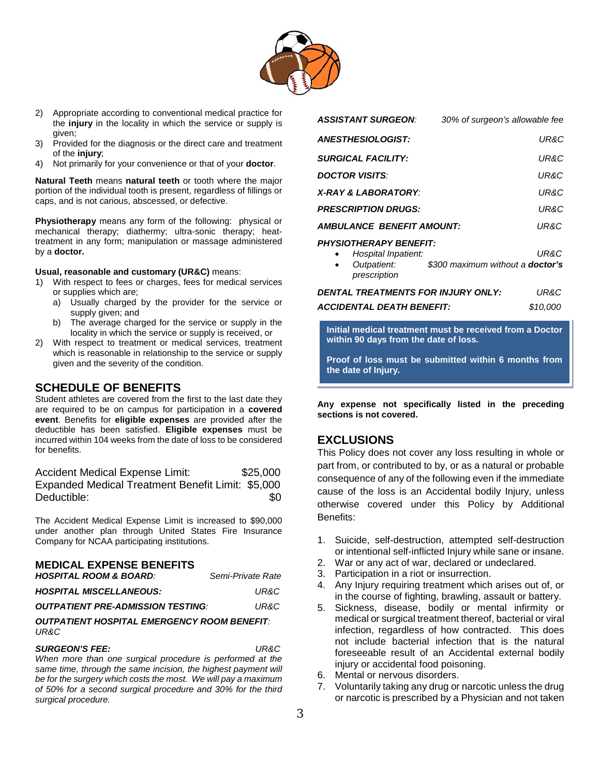

- 2) Appropriate according to conventional medical practice for the **injury** in the locality in which the service or supply is given;
- 3) Provided for the diagnosis or the direct care and treatment of the **injury**;
- 4) Not primarily for your convenience or that of your **doctor**.

**Natural Teeth** means **natural teeth** or tooth where the major portion of the individual tooth is present, regardless of fillings or caps, and is not carious, abscessed, or defective.

**Physiotherapy** means any form of the following: physical or mechanical therapy; diathermy; ultra-sonic therapy; heattreatment in any form; manipulation or massage administered by a **doctor.**

#### **Usual, reasonable and customary (UR&C)** means:

- 1) With respect to fees or charges, fees for medical services or supplies which are;
	- a) Usually charged by the provider for the service or supply given; and
	- b) The average charged for the service or supply in the locality in which the service or supply is received, or
- 2) With respect to treatment or medical services, treatment which is reasonable in relationship to the service or supply given and the severity of the condition.

### **SCHEDULE OF BENEFITS**

Student athletes are covered from the first to the last date they are required to be on campus for participation in a **covered event**. Benefits for **eligible expenses** are provided after the deductible has been satisfied. **Eligible expenses** must be incurred within 104 weeks from the date of loss to be considered for benefits.

| <b>Accident Medical Expense Limit:</b>            | \$25,000 |
|---------------------------------------------------|----------|
| Expanded Medical Treatment Benefit Limit: \$5,000 |          |
| Deductible:                                       | \$0      |

The Accident Medical Expense Limit is increased to \$90,000 under another plan through United States Fire Insurance Company for NCAA participating institutions.

#### **MEDICAL EXPENSE BENEFITS**

| <b>HOSPITAL ROOM &amp; BOARD:</b>               | Semi-Private Rate |
|-------------------------------------------------|-------------------|
| <b>HOSPITAL MISCELLANEOUS:</b>                  | UR&C              |
| <i><b>OUTPATIENT PRE-ADMISSION TESTING:</b></i> | UR&C              |

#### *OUTPATIENT HOSPITAL EMERGENCY ROOM BENEFIT: UR&C*

#### *SURGEON'S FEE: UR&C*

*When more than one surgical procedure is performed at the same time, through the same incision, the highest payment will be for the surgery which costs the most. We will pay a maximum of 50% for a second surgical procedure and 30% for the third surgical procedure.*

| AJJIJIANI JUKUEUN.            | 30% of surgeon's allowable ree          |
|-------------------------------|-----------------------------------------|
| <b>ANESTHESIOLOGIST:</b>      | UR&C                                    |
| <b>SURGICAL FACILITY:</b>     | UR&C                                    |
| <b>DOCTOR VISITS:</b>         | UR&C                                    |
| X-RAY & LABORATORY:           | UR&C                                    |
| <b>PRESCRIPTION DRUGS:</b>    | UR&C                                    |
| AMBULANCE BENEFIT AMOUNT:     | UR&C                                    |
| <b>PHYSIOTHERAPY BENEFIT:</b> |                                         |
| Hospital Inpatient:           | UR&C                                    |
| Outpatient:                   | \$300 maximum without a <b>doctor's</b> |

*ASSISTANT SURGEON: 30% of surgeon's allowable fee*

• *Outpatient: \$300 maximum without a doctor's prescription*

| DENTAL TREATMENTS FOR INJURY ONLY: | UR&C     |
|------------------------------------|----------|
| ACCIDENTAL DEATH BENEFIT:          | \$10.000 |

**Initial medical treatment must be received from a Doctor within 90 days from the date of loss.** 

**Proof of loss must be submitted within 6 months from the date of Injury.**

**Any expense not specifically listed in the preceding sections is not covered.**

### **EXCLUSIONS**

This Policy does not cover any loss resulting in whole or part from, or contributed to by, or as a natural or probable consequence of any of the following even if the immediate cause of the loss is an Accidental bodily Injury, unless otherwise covered under this Policy by Additional Benefits:

- 1. Suicide, self-destruction, attempted self-destruction or intentional self-inflicted Injury while sane or insane.
- 2. War or any act of war, declared or undeclared.
- 3. Participation in a riot or insurrection.
- 4. Any Injury requiring treatment which arises out of, or in the course of fighting, brawling, assault or battery.
- 5. Sickness, disease, bodily or mental infirmity or medical or surgical treatment thereof, bacterial or viral infection, regardless of how contracted. This does not include bacterial infection that is the natural foreseeable result of an Accidental external bodily injury or accidental food poisoning.
- 6. Mental or nervous disorders.
- 7. Voluntarily taking any drug or narcotic unless the drug or narcotic is prescribed by a Physician and not taken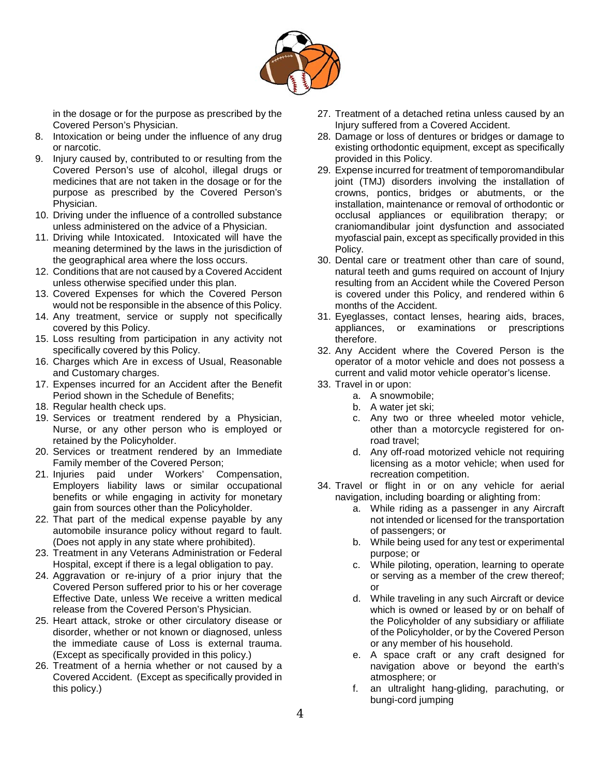

in the dosage or for the purpose as prescribed by the Covered Person's Physician.

- 8. Intoxication or being under the influence of any drug or narcotic.
- 9. Injury caused by, contributed to or resulting from the Covered Person's use of alcohol, illegal drugs or medicines that are not taken in the dosage or for the purpose as prescribed by the Covered Person's Physician.
- 10. Driving under the influence of a controlled substance unless administered on the advice of a Physician.
- 11. Driving while Intoxicated. Intoxicated will have the meaning determined by the laws in the jurisdiction of the geographical area where the loss occurs.
- 12. Conditions that are not caused by a Covered Accident unless otherwise specified under this plan.
- 13. Covered Expenses for which the Covered Person would not be responsible in the absence of this Policy.
- 14. Any treatment, service or supply not specifically covered by this Policy.
- 15. Loss resulting from participation in any activity not specifically covered by this Policy.
- 16. Charges which Are in excess of Usual, Reasonable and Customary charges.
- 17. Expenses incurred for an Accident after the Benefit Period shown in the Schedule of Benefits;
- 18. Regular health check ups.
- 19. Services or treatment rendered by a Physician, Nurse, or any other person who is employed or retained by the Policyholder.
- 20. Services or treatment rendered by an Immediate Family member of the Covered Person;
- 21. Injuries paid under Workers' Compensation, Employers liability laws or similar occupational benefits or while engaging in activity for monetary gain from sources other than the Policyholder.
- 22. That part of the medical expense payable by any automobile insurance policy without regard to fault. (Does not apply in any state where prohibited).
- 23. Treatment in any Veterans Administration or Federal Hospital, except if there is a legal obligation to pay.
- 24. Aggravation or re-injury of a prior injury that the Covered Person suffered prior to his or her coverage Effective Date, unless We receive a written medical release from the Covered Person's Physician.
- 25. Heart attack, stroke or other circulatory disease or disorder, whether or not known or diagnosed, unless the immediate cause of Loss is external trauma. (Except as specifically provided in this policy.)
- 26. Treatment of a hernia whether or not caused by a Covered Accident. (Except as specifically provided in this policy.)
- 27. Treatment of a detached retina unless caused by an Injury suffered from a Covered Accident.
- 28. Damage or loss of dentures or bridges or damage to existing orthodontic equipment, except as specifically provided in this Policy.
- 29. Expense incurred for treatment of temporomandibular joint (TMJ) disorders involving the installation of crowns, pontics, bridges or abutments, or the installation, maintenance or removal of orthodontic or occlusal appliances or equilibration therapy; or craniomandibular joint dysfunction and associated myofascial pain, except as specifically provided in this Policy.
- 30. Dental care or treatment other than care of sound, natural teeth and gums required on account of Injury resulting from an Accident while the Covered Person is covered under this Policy, and rendered within 6 months of the Accident.
- 31. Eyeglasses, contact lenses, hearing aids, braces, appliances, or examinations or prescriptions therefore.
- 32. Any Accident where the Covered Person is the operator of a motor vehicle and does not possess a current and valid motor vehicle operator's license.
- 33. Travel in or upon:
	- a. A snowmobile;
	- b. A water jet ski;
	- c. Any two or three wheeled motor vehicle, other than a motorcycle registered for onroad travel;
	- d. Any off-road motorized vehicle not requiring licensing as a motor vehicle; when used for recreation competition.
- 34. Travel or flight in or on any vehicle for aerial navigation, including boarding or alighting from:
	- a. While riding as a passenger in any Aircraft not intended or licensed for the transportation of passengers; or
	- b. While being used for any test or experimental purpose; or
	- c. While piloting, operation, learning to operate or serving as a member of the crew thereof; or
	- d. While traveling in any such Aircraft or device which is owned or leased by or on behalf of the Policyholder of any subsidiary or affiliate of the Policyholder, or by the Covered Person or any member of his household.
	- e. A space craft or any craft designed for navigation above or beyond the earth's atmosphere; or
	- f. an ultralight hang-gliding, parachuting, or bungi-cord jumping